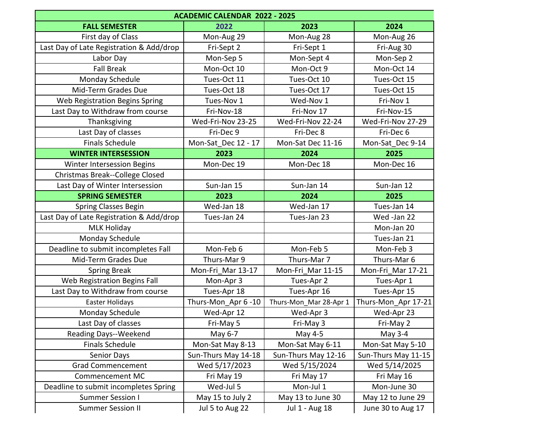| <b>ACADEMIC CALENDAR 2022 - 2025</b>     |                     |                        |                     |
|------------------------------------------|---------------------|------------------------|---------------------|
| <b>FALL SEMESTER</b>                     | 2022                | 2023                   | 2024                |
| First day of Class                       | Mon-Aug 29          | Mon-Aug 28             | Mon-Aug 26          |
| Last Day of Late Registration & Add/drop | Fri-Sept 2          | Fri-Sept 1             | Fri-Aug 30          |
| Labor Day                                | Mon-Sep 5           | Mon-Sept 4             | Mon-Sep 2           |
| <b>Fall Break</b>                        | Mon-Oct 10          | Mon-Oct 9              | Mon-Oct 14          |
| Monday Schedule                          | Tues-Oct 11         | Tues-Oct 10            | Tues-Oct 15         |
| Mid-Term Grades Due                      | Tues-Oct 18         | Tues-Oct 17            | Tues-Oct 15         |
| Web Registration Begins Spring           | Tues-Nov 1          | Wed-Nov 1              | Fri-Nov 1           |
| Last Day to Withdraw from course         | Fri-Nov-18          | Fri-Nov 17             | Fri-Nov-15          |
| Thanksgiving                             | Wed-Fri-Nov 23-25   | Wed-Fri-Nov 22-24      | Wed-Fri-Nov 27-29   |
| Last Day of classes                      | Fri-Dec 9           | Fri-Dec 8              | Fri-Dec 6           |
| <b>Finals Schedule</b>                   | Mon-Sat Dec 12 - 17 | Mon-Sat Dec 11-16      | Mon-Sat Dec 9-14    |
| <b>WINTER INTERSESSION</b>               | 2023                | 2024                   | 2025                |
| Winter Intersession Begins               | Mon-Dec 19          | Mon-Dec 18             | Mon-Dec 16          |
| Christmas Break--College Closed          |                     |                        |                     |
| Last Day of Winter Intersession          | Sun-Jan 15          | Sun-Jan 14             | Sun-Jan 12          |
| <b>SPRING SEMESTER</b>                   | 2023                | 2024                   | 2025                |
| <b>Spring Classes Begin</b>              | Wed-Jan 18          | Wed-Jan 17             | Tues-Jan 14         |
| Last Day of Late Registration & Add/drop | Tues-Jan 24         | Tues-Jan 23            | Wed -Jan 22         |
| <b>MLK Holiday</b>                       |                     |                        | Mon-Jan 20          |
| Monday Schedule                          |                     |                        | Tues-Jan 21         |
| Deadline to submit incompletes Fall      | Mon-Feb 6           | Mon-Feb 5              | Mon-Feb 3           |
| Mid-Term Grades Due                      | Thurs-Mar 9         | Thurs-Mar 7            | Thurs-Mar 6         |
| <b>Spring Break</b>                      | Mon-Fri Mar 13-17   | Mon-Fri Mar 11-15      | Mon-Fri Mar 17-21   |
| Web Registration Begins Fall             | Mon-Apr 3           | Tues-Apr 2             | Tues-Apr 1          |
| Last Day to Withdraw from course         | Tues-Apr 18         | Tues-Apr 16            | Tues-Apr 15         |
| Easter Holidays                          | Thurs-Mon Apr 6-10  | Thurs-Mon_Mar 28-Apr 1 | Thurs-Mon Apr 17-21 |
| Monday Schedule                          | Wed-Apr 12          | Wed-Apr 3              | Wed-Apr 23          |
| Last Day of classes                      | Fri-May 5           | Fri-May 3              | Fri-May 2           |
| Reading Days--Weekend                    | May 6-7             | May 4-5                | May 3-4             |
| <b>Finals Schedule</b>                   | Mon-Sat May 8-13    | Mon-Sat May 6-11       | Mon-Sat May 5-10    |
| Senior Days                              | Sun-Thurs May 14-18 | Sun-Thurs May 12-16    | Sun-Thurs May 11-15 |
| <b>Grad Commencement</b>                 | Wed 5/17/2023       | Wed 5/15/2024          | Wed 5/14/2025       |
| Commencement MC                          | Fri May 19          | Fri May 17             | Fri May 16          |
| Deadline to submit incompletes Spring    | Wed-Jul 5           | Mon-Jul 1              | Mon-June 30         |
| <b>Summer Session I</b>                  | May 15 to July 2    | May 13 to June 30      | May 12 to June 29   |
| <b>Summer Session II</b>                 | Jul 5 to Aug 22     | Jul 1 - Aug 18         | June 30 to Aug 17   |